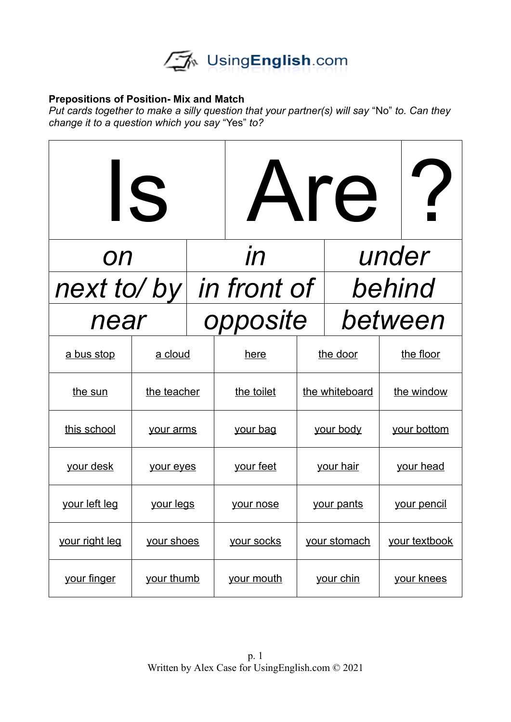

## **Prepositions of Position- Mix and Match**

*Put cards together to make a silly question that your partner(s) will say "No" to. Can they change it to a question which you say* "Yes" *to?*

| IS             |             |  | Are             |                  | $\gamma$ |                   |  |
|----------------|-------------|--|-----------------|------------------|----------|-------------------|--|
| <b>ON</b>      |             |  | $\overline{l}n$ | under            |          |                   |  |
| next to/by     |             |  | in front of     |                  | behind   |                   |  |
| near           |             |  | opposite        |                  |          | between           |  |
| a bus stop     | a cloud     |  | here            | the door         |          | the floor         |  |
| the sun        | the teacher |  | the toilet      | the whiteboard   |          | the window        |  |
| this school    | your arms   |  | <u>your bag</u> | your body        |          | your bottom       |  |
| your desk      | your eyes   |  | your feet       | your hair        |          | your head         |  |
| your left leg  | your legs   |  | your nose       | your pants       |          | your pencil       |  |
| your right leg | your shoes  |  | your socks      | your stomach     |          | your textbook     |  |
| your finger    | your thumb  |  | your mouth      | <u>your chin</u> |          | <u>your knees</u> |  |